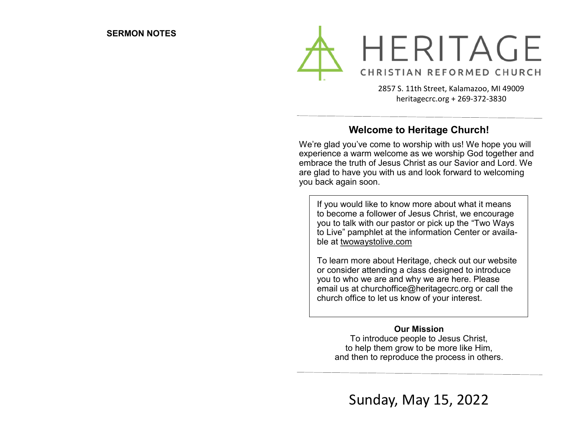

2857 S. 11th Street, Kalamazoo, MI 49009 heritagecrc.org + 269-372-3830

## **Welcome to Heritage Church!**

We're glad you've come to worship with us! We hope you will experience a warm welcome as we worship God together and embrace the truth of Jesus Christ as our Savior and Lord. We are glad to have you with us and look forward to welcoming you back again soon.

If you would like to know more about what it means to become a follower of Jesus Christ, we encourage you to talk with our pastor or pick up the "Two Ways to Live" pamphlet at the information Center or available at twowaystolive.com

To learn more about Heritage, check out our website or consider attending a class designed to introduce you to who we are and why we are here. Please email us at churchoffice@heritagecrc.org or call the church office to let us know of your interest.

### **Our Mission**

To introduce people to Jesus Christ, to help them grow to be more like Him, and then to reproduce the process in others.

Sunday, May 15, 2022